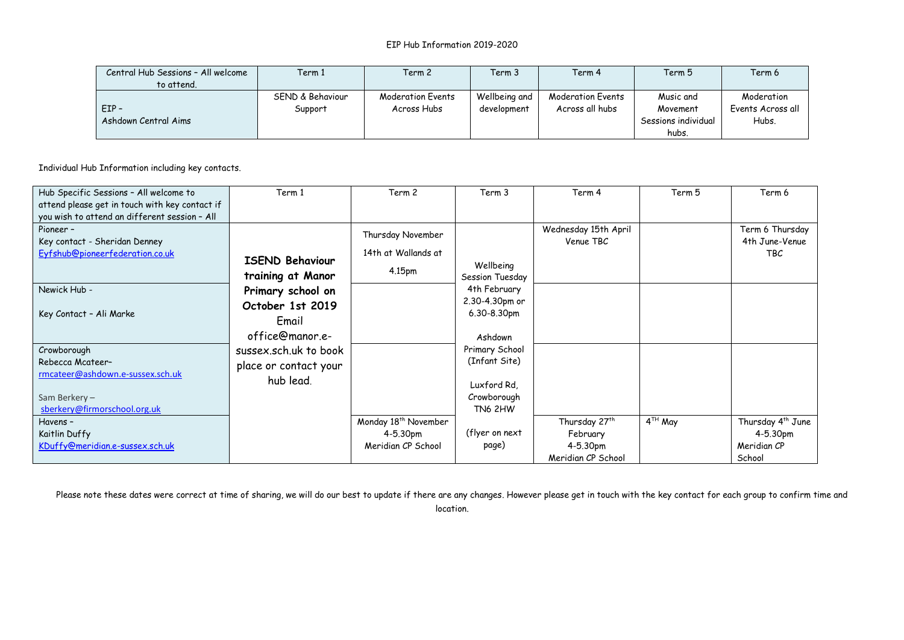| Central Hub Sessions - All welcome | Term 1           | Term 2            | Term 3        | Term 4                   | Term 5              | Term 6            |
|------------------------------------|------------------|-------------------|---------------|--------------------------|---------------------|-------------------|
| to attend.                         |                  |                   |               |                          |                     |                   |
|                                    | SEND & Behaviour | Moderation Events | Wellbeing and | <b>Moderation Events</b> | Music and           | Moderation        |
| $EIP -$                            | Support          | Across Hubs       | development   | Across all hubs          | Movement            | Events Across all |
| Ashdown Central Aims               |                  |                   |               |                          | Sessions individual | Hubs.             |
|                                    |                  |                   |               |                          | hubs.               |                   |

Individual Hub Information including key contacts.

| Hub Specific Sessions - All welcome to         | Term 1                 | Term 2                           | Term <sub>3</sub> | Term 4                    | Term 5                         | Term 6                        |
|------------------------------------------------|------------------------|----------------------------------|-------------------|---------------------------|--------------------------------|-------------------------------|
| attend please get in touch with key contact if |                        |                                  |                   |                           |                                |                               |
| you wish to attend an different session - All  |                        |                                  |                   |                           |                                |                               |
| Pioneer -                                      |                        | Thursday November                |                   | Wednesday 15th April      |                                | Term 6 Thursday               |
| Key contact - Sheridan Denney                  |                        |                                  |                   | Venue TBC                 |                                | 4th June-Venue                |
| Eyfshub@pioneerfederation.co.uk                | <b>ISEND Behaviour</b> | 14th at Wallands at              |                   |                           |                                | <b>TBC</b>                    |
|                                                |                        | 4.15pm                           | Wellbeing         |                           |                                |                               |
|                                                | training at Manor      |                                  | Session Tuesday   |                           |                                |                               |
| Newick Hub -                                   | Primary school on      |                                  | 4th February      |                           |                                |                               |
|                                                | October 1st 2019       |                                  | 2.30-4.30pm or    |                           |                                |                               |
| Key Contact - Ali Marke                        | Email                  |                                  | 6.30-8.30pm       |                           |                                |                               |
|                                                |                        |                                  |                   |                           |                                |                               |
|                                                | office@manor.e-        |                                  | Ashdown           |                           |                                |                               |
| Crowborough                                    | sussex.sch.uk to book  |                                  | Primary School    |                           |                                |                               |
| Rebecca Mcateer-                               | place or contact your  |                                  | (Infant Site)     |                           |                                |                               |
| rmcateer@ashdown.e-sussex.sch.uk               | hub lead.              |                                  |                   |                           |                                |                               |
|                                                |                        |                                  | Luxford Rd.       |                           |                                |                               |
| Sam Berkery-                                   |                        |                                  | Crowborough       |                           |                                |                               |
| sberkery@firmorschool.org.uk                   |                        |                                  | <b>TN6 2HW</b>    |                           |                                |                               |
| Havens -                                       |                        | Monday 18 <sup>th</sup> November |                   | Thursday 27 <sup>th</sup> | $\overline{4}^{\text{TH}}$ May | Thursday 4 <sup>th</sup> June |
| Kaitlin Duffy                                  |                        | $4 - 5.30pm$                     | (flyer on next)   | February                  |                                | 4-5.30pm                      |
| KDuffy@meridian.e-sussex.sch.uk                |                        | Meridian CP School               | page)             | 4-5.30pm                  |                                | Meridian CP                   |
|                                                |                        |                                  |                   | Meridian CP School        |                                | School                        |

Please note these dates were correct at time of sharing, we will do our best to update if there are any changes. However please get in touch with the key contact for each group to confirm time and

location.